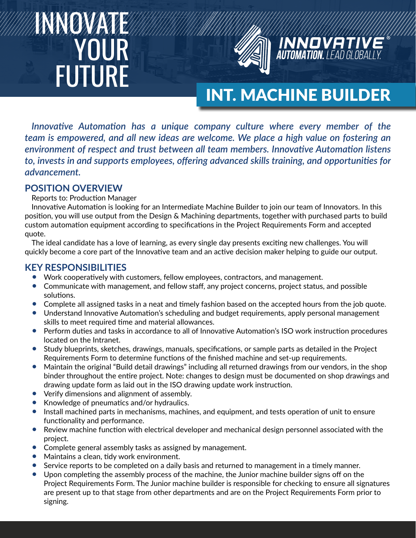# INNOVATE **YOUR** FUTURE



## INT. MACHINE BUILDER

**INNOVATIV**<br>Automation. Lead Global

*Innovative Automation has a unique company culture where every member of the team is empowered, and all new ideas are welcome. We place a high value on fostering an environment of respect and trust between all team members. Innovative Automation listens to, invests in and supports employees, offering advanced skills training, and opportunities for advancement.*

#### **POSITION OVERVIEW**

Reports to: Production Manager

Innovative Automation is looking for an Intermediate Machine Builder to join our team of Innovators. In this position, you will use output from the Design & Machining departments, together with purchased parts to build custom automation equipment according to specifications in the Project Requirements Form and accepted quote.

The ideal candidate has a love of learning, as every single day presents exciting new challenges. You will quickly become a core part of the Innovative team and an active decision maker helping to guide our output.

#### **KEY RESPONSIBILITIES**

- Work cooperatively with customers, fellow employees, contractors, and management.
- Communicate with management, and fellow staff, any project concerns, project status, and possible solutions.
- Complete all assigned tasks in a neat and timely fashion based on the accepted hours from the job quote.
- Understand Innovative Automation's scheduling and budget requirements, apply personal management skills to meet required time and material allowances.
- Perform duties and tasks in accordance to all of Innovative Automation's ISO work instruction procedures located on the Intranet.
- Study blueprints, sketches, drawings, manuals, specifications, or sample parts as detailed in the Project Requirements Form to determine functions of the finished machine and set-up requirements.
- Maintain the original "Build detail drawings" including all returned drawings from our vendors, in the shop binder throughout the entire project. Note: changes to design must be documented on shop drawings and drawing update form as laid out in the ISO drawing update work instruction.
- Verify dimensions and alignment of assembly.
- Knowledge of pneumatics and/or hydraulics.
- Install machined parts in mechanisms, machines, and equipment, and tests operation of unit to ensure functionality and performance.
- Review machine function with electrical developer and mechanical design personnel associated with the project.
- Complete general assembly tasks as assigned by management.
- Maintains a clean, tidy work environment.
- Service reports to be completed on a daily basis and returned to management in a timely manner.
- Upon completing the assembly process of the machine, the Junior machine builder signs off on the Project Requirements Form. The Junior machine builder is responsible for checking to ensure all signatures are present up to that stage from other departments and are on the Project Requirements Form prior to signing.